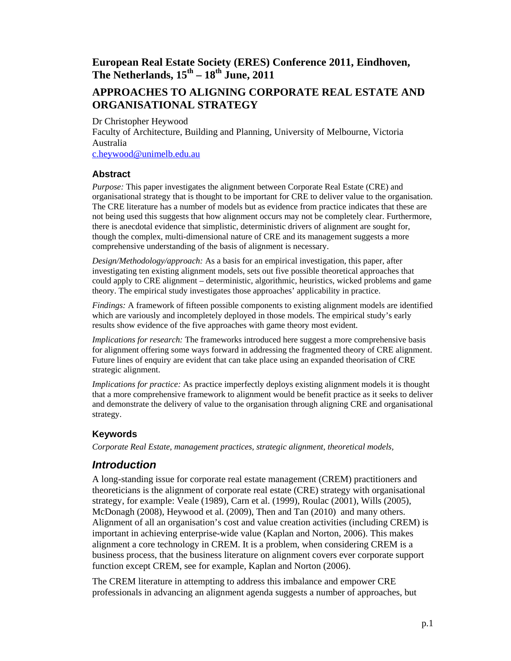# **European Real Estate Society (ERES) Conference 2011, Eindhoven, The Netherlands, 15th – 18th June, 2011**

# **APPROACHES TO ALIGNING CORPORATE REAL ESTATE AND ORGANISATIONAL STRATEGY**

Dr Christopher Heywood

Faculty of Architecture, Building and Planning, University of Melbourne, Victoria Australia

c.heywood@unimelb.edu.au

#### **Abstract**

*Purpose:* This paper investigates the alignment between Corporate Real Estate (CRE) and organisational strategy that is thought to be important for CRE to deliver value to the organisation. The CRE literature has a number of models but as evidence from practice indicates that these are not being used this suggests that how alignment occurs may not be completely clear. Furthermore, there is anecdotal evidence that simplistic, deterministic drivers of alignment are sought for, though the complex, multi-dimensional nature of CRE and its management suggests a more comprehensive understanding of the basis of alignment is necessary.

*Design/Methodology/approach:* As a basis for an empirical investigation, this paper, after investigating ten existing alignment models, sets out five possible theoretical approaches that could apply to CRE alignment – deterministic, algorithmic, heuristics, wicked problems and game theory. The empirical study investigates those approaches' applicability in practice.

*Findings:* A framework of fifteen possible components to existing alignment models are identified which are variously and incompletely deployed in those models. The empirical study's early results show evidence of the five approaches with game theory most evident.

*Implications for research:* The frameworks introduced here suggest a more comprehensive basis for alignment offering some ways forward in addressing the fragmented theory of CRE alignment. Future lines of enquiry are evident that can take place using an expanded theorisation of CRE strategic alignment.

*Implications for practice:* As practice imperfectly deploys existing alignment models it is thought that a more comprehensive framework to alignment would be benefit practice as it seeks to deliver and demonstrate the delivery of value to the organisation through aligning CRE and organisational strategy.

#### **Keywords**

*Corporate Real Estate, management practices, strategic alignment, theoretical models,* 

## *Introduction*

A long-standing issue for corporate real estate management (CREM) practitioners and theoreticians is the alignment of corporate real estate (CRE) strategy with organisational strategy, for example: Veale (1989), Carn et al. (1999), Roulac (2001), Wills (2005), McDonagh (2008), Heywood et al. (2009), Then and Tan (2010) and many others. Alignment of all an organisation's cost and value creation activities (including CREM) is important in achieving enterprise-wide value (Kaplan and Norton, 2006). This makes alignment a core technology in CREM. It is a problem, when considering CREM is a business process, that the business literature on alignment covers ever corporate support function except CREM, see for example, Kaplan and Norton (2006).

The CREM literature in attempting to address this imbalance and empower CRE professionals in advancing an alignment agenda suggests a number of approaches, but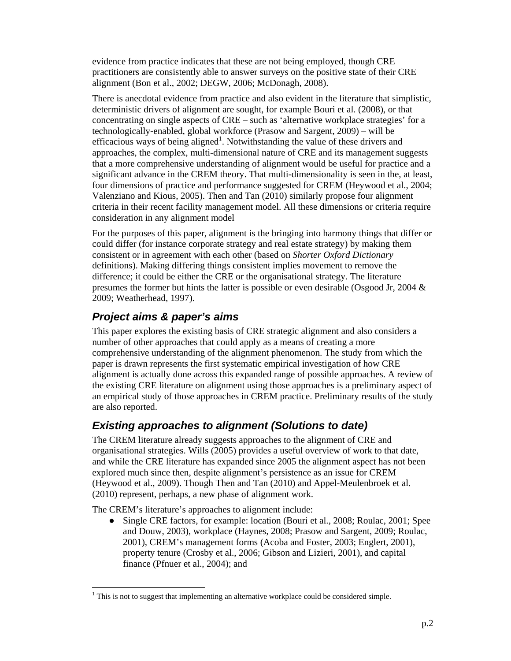evidence from practice indicates that these are not being employed, though CRE practitioners are consistently able to answer surveys on the positive state of their CRE alignment (Bon et al., 2002; DEGW, 2006; McDonagh, 2008).

There is anecdotal evidence from practice and also evident in the literature that simplistic, deterministic drivers of alignment are sought, for example Bouri et al. (2008), or that concentrating on single aspects of CRE – such as 'alternative workplace strategies' for a technologically-enabled, global workforce (Prasow and Sargent, 2009) – will be efficacious ways of being aligned<sup>1</sup>. Notwithstanding the value of these drivers and approaches, the complex, multi-dimensional nature of CRE and its management suggests that a more comprehensive understanding of alignment would be useful for practice and a significant advance in the CREM theory. That multi-dimensionality is seen in the, at least, four dimensions of practice and performance suggested for CREM (Heywood et al., 2004; Valenziano and Kious, 2005). Then and Tan (2010) similarly propose four alignment criteria in their recent facility management model. All these dimensions or criteria require consideration in any alignment model

For the purposes of this paper, alignment is the bringing into harmony things that differ or could differ (for instance corporate strategy and real estate strategy) by making them consistent or in agreement with each other (based on *Shorter Oxford Dictionary* definitions). Making differing things consistent implies movement to remove the difference; it could be either the CRE or the organisational strategy. The literature presumes the former but hints the latter is possible or even desirable (Osgood Jr, 2004 & 2009; Weatherhead, 1997).

## *Project aims & paper's aims*

This paper explores the existing basis of CRE strategic alignment and also considers a number of other approaches that could apply as a means of creating a more comprehensive understanding of the alignment phenomenon. The study from which the paper is drawn represents the first systematic empirical investigation of how CRE alignment is actually done across this expanded range of possible approaches. A review of the existing CRE literature on alignment using those approaches is a preliminary aspect of an empirical study of those approaches in CREM practice. Preliminary results of the study are also reported.

## *Existing approaches to alignment (Solutions to date)*

The CREM literature already suggests approaches to the alignment of CRE and organisational strategies. Wills (2005) provides a useful overview of work to that date, and while the CRE literature has expanded since 2005 the alignment aspect has not been explored much since then, despite alignment's persistence as an issue for CREM (Heywood et al., 2009). Though Then and Tan (2010) and Appel-Meulenbroek et al. (2010) represent, perhaps, a new phase of alignment work.

The CREM's literature's approaches to alignment include:

 $\overline{a}$ 

• Single CRE factors, for example: location (Bouri et al., 2008; Roulac, 2001; Spee and Douw, 2003), workplace (Haynes, 2008; Prasow and Sargent, 2009; Roulac, 2001), CREM's management forms (Acoba and Foster, 2003; Englert, 2001), property tenure (Crosby et al., 2006; Gibson and Lizieri, 2001), and capital finance (Pfnuer et al., 2004); and

 $1$ <sup>1</sup> This is not to suggest that implementing an alternative workplace could be considered simple.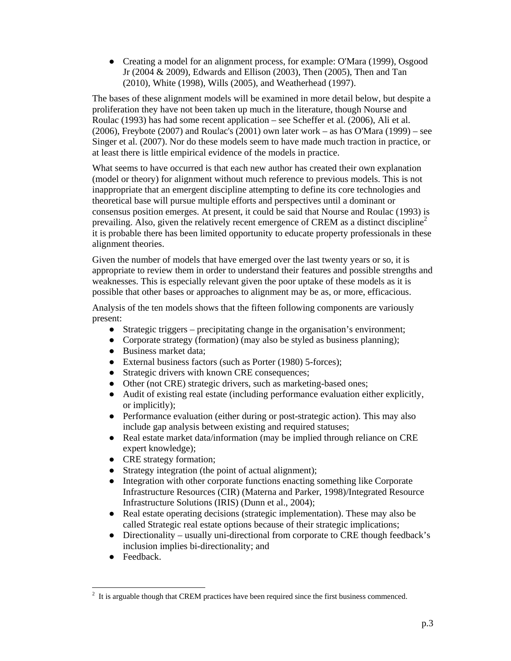● Creating a model for an alignment process, for example: O'Mara (1999), Osgood Jr (2004 & 2009), Edwards and Ellison (2003), Then (2005), Then and Tan (2010), White (1998), Wills (2005), and Weatherhead (1997).

The bases of these alignment models will be examined in more detail below, but despite a proliferation they have not been taken up much in the literature, though Nourse and Roulac (1993) has had some recent application – see Scheffer et al. (2006), Ali et al. (2006), Freybote (2007) and Roulac's (2001) own later work – as has O'Mara (1999) – see Singer et al. (2007). Nor do these models seem to have made much traction in practice, or at least there is little empirical evidence of the models in practice.

What seems to have occurred is that each new author has created their own explanation (model or theory) for alignment without much reference to previous models. This is not inappropriate that an emergent discipline attempting to define its core technologies and theoretical base will pursue multiple efforts and perspectives until a dominant or consensus position emerges. At present, it could be said that Nourse and Roulac (1993) is prevailing. Also, given the relatively recent emergence of CREM as a distinct discipline<sup>2</sup> it is probable there has been limited opportunity to educate property professionals in these alignment theories.

Given the number of models that have emerged over the last twenty years or so, it is appropriate to review them in order to understand their features and possible strengths and weaknesses. This is especially relevant given the poor uptake of these models as it is possible that other bases or approaches to alignment may be as, or more, efficacious.

Analysis of the ten models shows that the fifteen following components are variously present:

- Strategic triggers precipitating change in the organisation's environment;
- Corporate strategy (formation) (may also be styled as business planning);
- Business market data;
- External business factors (such as Porter (1980) 5-forces);
- Strategic drivers with known CRE consequences;
- Other (not CRE) strategic drivers, such as marketing-based ones;
- Audit of existing real estate (including performance evaluation either explicitly, or implicitly);
- Performance evaluation (either during or post-strategic action). This may also include gap analysis between existing and required statuses;
- Real estate market data/information (may be implied through reliance on CRE expert knowledge);
- CRE strategy formation;
- Strategy integration (the point of actual alignment);
- Integration with other corporate functions enacting something like Corporate Infrastructure Resources (CIR) (Materna and Parker, 1998)/Integrated Resource Infrastructure Solutions (IRIS) (Dunn et al., 2004);
- Real estate operating decisions (strategic implementation). These may also be called Strategic real estate options because of their strategic implications;
- Directionality usually uni-directional from corporate to CRE though feedback's inclusion implies bi-directionality; and
- Feedback.

 $\overline{a}$  $2<sup>2</sup>$  It is arguable though that CREM practices have been required since the first business commenced.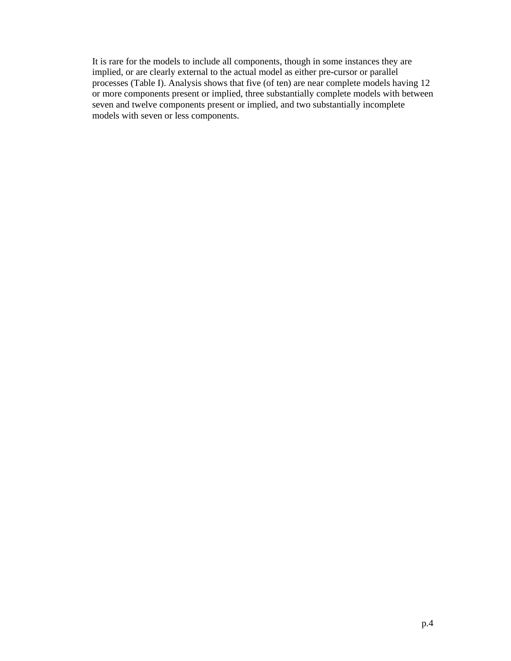It is rare for the models to include all components, though in some instances they are implied, or are clearly external to the actual model as either pre-cursor or parallel processes (Table I). Analysis shows that five (of ten) are near complete models having 12 or more components present or implied, three substantially complete models with between seven and twelve components present or implied, and two substantially incomplete models with seven or less components.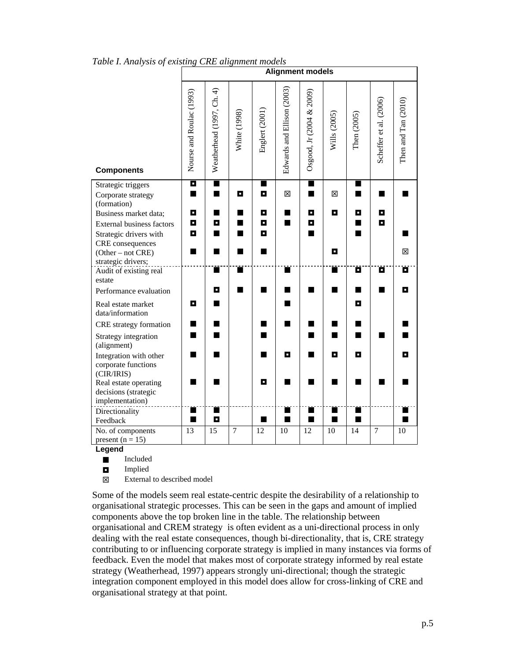|                                           | <b>Alignment models</b>  |                           |                |                     |                            |                          |                |             |                        |                     |  |  |  |
|-------------------------------------------|--------------------------|---------------------------|----------------|---------------------|----------------------------|--------------------------|----------------|-------------|------------------------|---------------------|--|--|--|
| <b>Components</b>                         | Nourse and Roulac (1993) | Weatherhead (1997, Ch. 4) | White (1998)   | Englert (2001)      | Edwards and Ellison (2003) | Osgood, Jr (2004 & 2009) | Wills $(2005)$ | Then (2005) | Scheffer et al. (2006) | Then and Tan (2010) |  |  |  |
| Strategic triggers<br>Corporate strategy  | П<br>$\blacksquare$      | $\blacksquare$<br>■       | О              | $\blacksquare$<br>О | 図                          | П<br>$\blacksquare$      | X              | ▅<br>■      | ٠                      |                     |  |  |  |
| (formation)                               |                          |                           |                |                     |                            |                          |                |             |                        |                     |  |  |  |
| Business market data;                     | о                        | ■                         |                | П                   | ▅                          | о                        | O              | O           | о                      |                     |  |  |  |
| External business factors                 | О                        | о                         |                | О                   | $\blacksquare$             | о                        |                | ┓           | О                      |                     |  |  |  |
| Strategic drivers with                    | о                        | ш                         |                | П                   |                            | ٠                        |                | ٠           |                        |                     |  |  |  |
| CRE consequences                          |                          |                           |                | ٠                   |                            |                          | о              |             |                        | ⊠                   |  |  |  |
| $(Other - not CRE)$<br>strategic drivers; |                          |                           |                |                     |                            |                          |                |             |                        |                     |  |  |  |
| Audit of existing real                    |                          | п                         |                |                     |                            |                          | ш              | Õ           | Õ                      | Ő                   |  |  |  |
| estate                                    |                          |                           |                |                     |                            |                          |                |             |                        |                     |  |  |  |
| Performance evaluation                    |                          | о                         |                |                     |                            |                          | ٠              |             |                        | П                   |  |  |  |
| Real estate market<br>data/information    | О                        |                           |                |                     |                            |                          |                | О           |                        |                     |  |  |  |
| CRE strategy formation                    | m                        |                           |                | ■                   | ш                          |                          | ш              | ■           |                        |                     |  |  |  |
| Strategy integration<br>(alignment)       | H                        |                           |                | ٠                   |                            | ш                        | ш              | ▅           |                        |                     |  |  |  |
| Integration with other                    | m.                       |                           |                | ٠                   | О                          |                          | о              | О           |                        | П                   |  |  |  |
| corporate functions<br>(CIR/IRIS)         |                          |                           |                |                     |                            |                          |                |             |                        |                     |  |  |  |
| Real estate operating                     |                          |                           |                | П                   |                            |                          |                |             |                        |                     |  |  |  |
| decisions (strategic                      |                          |                           |                |                     |                            |                          |                |             |                        |                     |  |  |  |
| implementation)                           |                          |                           |                |                     |                            |                          |                |             |                        |                     |  |  |  |
| Directionality                            | ٠<br>П                   | о                         |                | ■                   | ■                          | ■                        | $\blacksquare$ | ■           |                        | $\blacksquare$      |  |  |  |
| Feedback<br>No. of components             | 13                       | $\overline{15}$           | $\overline{7}$ | 12                  | 10                         | 12                       | 10             | 14          | $\overline{7}$         | 10                  |  |  |  |
| present $(n = 15)$                        |                          |                           |                |                     |                            |                          |                |             |                        |                     |  |  |  |

*Table I. Analysis of existing CRE alignment models* 

**Legend**

**Included** 

Implied

External to described model

Some of the models seem real estate-centric despite the desirability of a relationship to organisational strategic processes. This can be seen in the gaps and amount of implied components above the top broken line in the table. The relationship between organisational and CREM strategy is often evident as a uni-directional process in only dealing with the real estate consequences, though bi-directionality, that is, CRE strategy contributing to or influencing corporate strategy is implied in many instances via forms of feedback. Even the model that makes most of corporate strategy informed by real estate strategy (Weatherhead, 1997) appears strongly uni-directional; though the strategic integration component employed in this model does allow for cross-linking of CRE and organisational strategy at that point.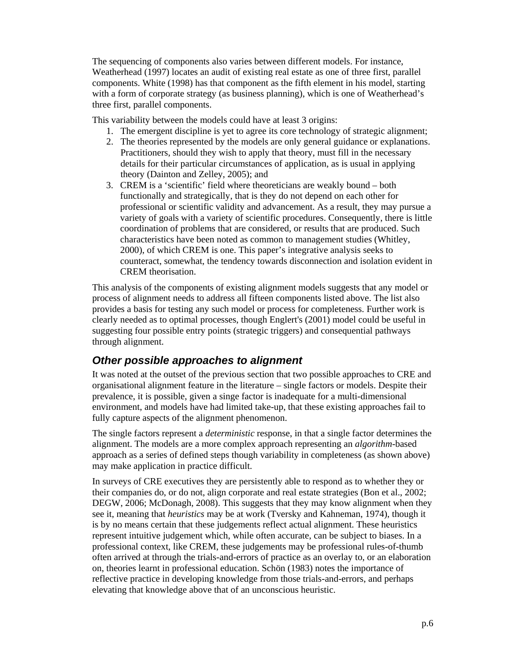The sequencing of components also varies between different models. For instance, Weatherhead (1997) locates an audit of existing real estate as one of three first, parallel components. White (1998) has that component as the fifth element in his model, starting with a form of corporate strategy (as business planning), which is one of Weatherhead's three first, parallel components.

This variability between the models could have at least 3 origins:

- 1. The emergent discipline is yet to agree its core technology of strategic alignment;
- 2. The theories represented by the models are only general guidance or explanations. Practitioners, should they wish to apply that theory, must fill in the necessary details for their particular circumstances of application, as is usual in applying theory (Dainton and Zelley, 2005); and
- 3. CREM is a 'scientific' field where theoreticians are weakly bound both functionally and strategically, that is they do not depend on each other for professional or scientific validity and advancement. As a result, they may pursue a variety of goals with a variety of scientific procedures. Consequently, there is little coordination of problems that are considered, or results that are produced. Such characteristics have been noted as common to management studies (Whitley, 2000), of which CREM is one. This paper's integrative analysis seeks to counteract, somewhat, the tendency towards disconnection and isolation evident in CREM theorisation.

This analysis of the components of existing alignment models suggests that any model or process of alignment needs to address all fifteen components listed above. The list also provides a basis for testing any such model or process for completeness. Further work is clearly needed as to optimal processes, though Englert's (2001) model could be useful in suggesting four possible entry points (strategic triggers) and consequential pathways through alignment.

## *Other possible approaches to alignment*

It was noted at the outset of the previous section that two possible approaches to CRE and organisational alignment feature in the literature – single factors or models. Despite their prevalence, it is possible, given a singe factor is inadequate for a multi-dimensional environment, and models have had limited take-up, that these existing approaches fail to fully capture aspects of the alignment phenomenon.

The single factors represent a *deterministic* response, in that a single factor determines the alignment. The models are a more complex approach representing an *algorithm*-based approach as a series of defined steps though variability in completeness (as shown above) may make application in practice difficult.

In surveys of CRE executives they are persistently able to respond as to whether they or their companies do, or do not, align corporate and real estate strategies (Bon et al., 2002; DEGW, 2006; McDonagh, 2008). This suggests that they may know alignment when they see it, meaning that *heuristics* may be at work (Tversky and Kahneman, 1974), though it is by no means certain that these judgements reflect actual alignment. These heuristics represent intuitive judgement which, while often accurate, can be subject to biases. In a professional context, like CREM, these judgements may be professional rules-of-thumb often arrived at through the trials-and-errors of practice as an overlay to, or an elaboration on, theories learnt in professional education. Schön (1983) notes the importance of reflective practice in developing knowledge from those trials-and-errors, and perhaps elevating that knowledge above that of an unconscious heuristic.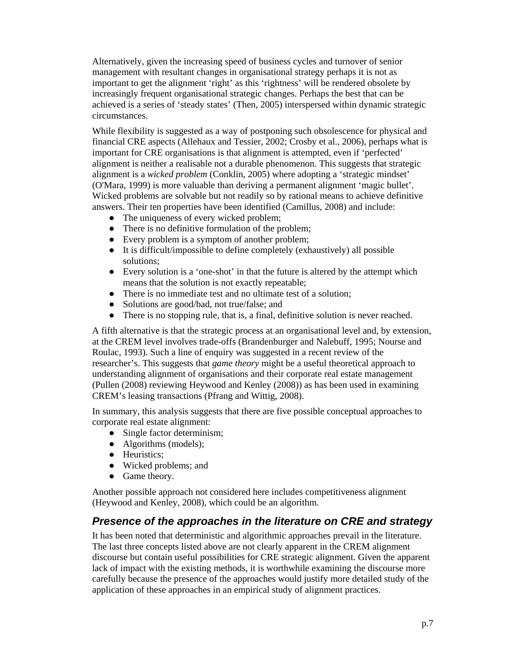Alternatively, given the increasing speed of business cycles and turnover of senior management with resultant changes in organisational strategy perhaps it is not as important to get the alignment 'right' as this 'rightness' will be rendered obsolete by increasingly frequent organisational strategic changes. Perhaps the best that can be achieved is a series of 'steady states' (Then, 2005) interspersed within dynamic strategic circumstances.

While flexibility is suggested as a way of postponing such obsolescence for physical and financial CRE aspects (Allehaux and Tessier, 2002; Crosby et al., 2006), perhaps what is important for CRE organisations is that alignment is attempted, even if 'perfected' alignment is neither a realisable not a durable phenomenon. This suggests that strategic alignment is a *wicked problem* (Conklin, 2005) where adopting a 'strategic mindset' (O'Mara, 1999) is more valuable than deriving a permanent alignment 'magic bullet'. Wicked problems are solvable but not readily so by rational means to achieve definitive answers. Their ten properties have been identified (Camillus, 2008) and include:

- The uniqueness of every wicked problem;
- There is no definitive formulation of the problem;
- Every problem is a symptom of another problem;
- It is difficult/impossible to define completely (exhaustively) all possible solutions;
- Every solution is a 'one-shot' in that the future is altered by the attempt which means that the solution is not exactly repeatable;
- There is no immediate test and no ultimate test of a solution;
- Solutions are good/bad, not true/false; and
- There is no stopping rule, that is, a final, definitive solution is never reached.

A fifth alternative is that the strategic process at an organisational level and, by extension, at the CREM level involves trade-offs (Brandenburger and Nalebuff, 1995; Nourse and Roulac, 1993). Such a line of enquiry was suggested in a recent review of the researcher's. This suggests that *game theory* might be a useful theoretical approach to understanding alignment of organisations and their corporate real estate management (Pullen (2008) reviewing Heywood and Kenley (2008)) as has been used in examining CREM's leasing transactions (Pfrang and Wittig, 2008).

In summary, this analysis suggests that there are five possible conceptual approaches to corporate real estate alignment:

- Single factor determinism;
- Algorithms (models);
- Heuristics;
- Wicked problems; and
- Game theory.

Another possible approach not considered here includes competitiveness alignment (Heywood and Kenley, 2008), which could be an algorithm.

#### *Presence of the approaches in the literature on CRE and strategy*

It has been noted that deterministic and algorithmic approaches prevail in the literature. The last three concepts listed above are not clearly apparent in the CREM alignment discourse but contain useful possibilities for CRE strategic alignment. Given the apparent lack of impact with the existing methods, it is worthwhile examining the discourse more carefully because the presence of the approaches would justify more detailed study of the application of these approaches in an empirical study of alignment practices.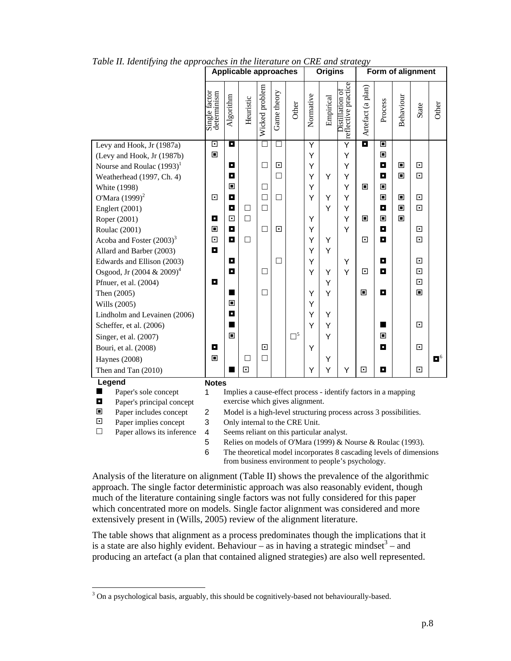|                         |                               | <b>Applicable approaches</b>                                                                                                  |                                                                                                     |           |                |             | <b>Origins</b>                  |           |           | Form of alignment                                              |                   |         |           |             |                  |
|-------------------------|-------------------------------|-------------------------------------------------------------------------------------------------------------------------------|-----------------------------------------------------------------------------------------------------|-----------|----------------|-------------|---------------------------------|-----------|-----------|----------------------------------------------------------------|-------------------|---------|-----------|-------------|------------------|
|                         |                               | Single factor<br>determinism                                                                                                  | Algorithm                                                                                           | Heuristic | Wicked problem | Game theory | Other                           | Normative | Empirical | reflective practice<br>Distillation of                         | Artefact (a plan) | Process | Behaviour | State       | Other            |
|                         | Levy and Hook, Jr (1987a)     | $\Box$                                                                                                                        | О                                                                                                   |           | □              | □           |                                 | Y         |           | $\overline{\mathsf{Y}}$                                        | o                 | ▣       |           |             |                  |
|                         | (Levy and Hook, Jr (1987b)    | $\blacksquare$                                                                                                                |                                                                                                     |           |                |             |                                 | Y         |           | Y                                                              |                   | ▣       |           |             |                  |
|                         | Nourse and Roulac $(1993)^1$  |                                                                                                                               | O                                                                                                   |           | $\Box$         | ⊡           |                                 | Ý         |           | Y                                                              |                   | О       | ▣         | ⊡           |                  |
|                         | Weatherhead (1997, Ch. 4)     |                                                                                                                               | О                                                                                                   |           |                | П           |                                 | Y         | Y         | Υ                                                              |                   | о       | П         | 同           |                  |
|                         | White (1998)                  |                                                                                                                               | ▣                                                                                                   |           | $\Box$         |             |                                 | Y         |           | Υ                                                              | П                 | П       |           |             |                  |
|                         | O'Mara $(1999)^2$             | $\overline{\phantom{a}}$                                                                                                      | П                                                                                                   |           | $\Box$         | □           |                                 | Y         | Υ         | Υ                                                              |                   | ▣       | ▣         | ⊡           |                  |
|                         | Englert (2001)                |                                                                                                                               | O                                                                                                   | □         | $\Box$         |             |                                 |           | Y         | Υ                                                              |                   | П       | ▣         | $\Box$      |                  |
|                         | Roper (2001)                  | О                                                                                                                             | $\overline{\phantom{a}}$                                                                            | $\Box$    |                |             |                                 | Y         |           | Y                                                              | ▣                 | П       | П         |             |                  |
|                         | Roulac (2001)                 | $\blacksquare$                                                                                                                | П                                                                                                   |           | $\Box$         | ⊡           |                                 | Υ         |           | Y                                                              |                   | О       |           | ⊡           |                  |
|                         | Acoba and Foster $(2003)^3$   | $\Box$                                                                                                                        | O                                                                                                   | □         |                |             |                                 | Y         | Υ         |                                                                | ⊡                 | П       |           | 同           |                  |
|                         | Allard and Barber (2003)      | o                                                                                                                             |                                                                                                     |           |                |             |                                 | Y         | Υ         |                                                                |                   |         |           |             |                  |
|                         | Edwards and Ellison (2003)    |                                                                                                                               | П<br>О                                                                                              |           | □              | L           |                                 | Y<br>Y    |           | Υ<br>Y                                                         | ⊡                 | о<br>о  |           | ⊡<br>$\Box$ |                  |
|                         | Osgood, Jr $(2004 \& 2009)^4$ | п                                                                                                                             |                                                                                                     |           |                |             |                                 |           | Υ<br>Υ    |                                                                |                   |         |           | $\Box$      |                  |
|                         | Pfnuer, et al. (2004)         |                                                                                                                               | ш                                                                                                   |           | □              |             |                                 | Y         | Y         |                                                                | Π                 | о       |           | Π           |                  |
|                         | Then (2005)<br>Wills (2005)   |                                                                                                                               | П                                                                                                   |           |                |             |                                 | Y         |           |                                                                |                   |         |           |             |                  |
|                         | Lindholm and Levainen (2006)  |                                                                                                                               | О                                                                                                   |           |                |             |                                 | Y         | Y         |                                                                |                   |         |           |             |                  |
|                         | Scheffer, et al. (2006)       |                                                                                                                               | ш                                                                                                   |           |                |             |                                 | Y         | Υ         |                                                                |                   | ■       |           | ⊡           |                  |
|                         | Singer, et al. (2007)         |                                                                                                                               | ▣                                                                                                   |           |                |             | $\Box^5$                        |           | Y         |                                                                |                   | П       |           |             |                  |
|                         | Bouri, et al. (2008)          | О                                                                                                                             |                                                                                                     |           | ⊡              |             |                                 | Υ         |           |                                                                |                   | О       |           | ⊡           |                  |
|                         | <b>Haynes</b> (2008)          | ▣                                                                                                                             |                                                                                                     | $\Box$    | $\Box$         |             |                                 |           | Υ         |                                                                |                   |         |           |             | $\blacksquare^6$ |
|                         | Then and Tan (2010)           |                                                                                                                               | ш                                                                                                   | $\Box$    |                |             |                                 | Y         | Υ         | Y                                                              | ⊡                 | o       |           | ⊡           |                  |
|                         | Legend                        |                                                                                                                               |                                                                                                     |           |                |             |                                 |           |           |                                                                |                   |         |           |             |                  |
| ■                       | Paper's sole concept          | <b>Notes</b><br>1                                                                                                             |                                                                                                     |           |                |             |                                 |           |           | Implies a cause-effect process - identify factors in a mapping |                   |         |           |             |                  |
| П                       | Paper's principal concept     |                                                                                                                               |                                                                                                     |           |                |             | exercise which gives alignment. |           |           |                                                                |                   |         |           |             |                  |
| ▣                       | Paper includes concept        | $\mathbf 2$                                                                                                                   |                                                                                                     |           |                |             |                                 |           |           |                                                                |                   |         |           |             |                  |
| $\overline{\mathbf{E}}$ | Paper implies concept         | 3                                                                                                                             | Model is a high-level structuring process across 3 possibilities.<br>Only internal to the CRE Unit. |           |                |             |                                 |           |           |                                                                |                   |         |           |             |                  |
| $\Box$                  | Paper allows its inference    | $\overline{\mathbf{4}}$                                                                                                       | Seems reliant on this particular analyst.                                                           |           |                |             |                                 |           |           |                                                                |                   |         |           |             |                  |
|                         |                               | 5                                                                                                                             | Relies on models of O'Mara (1999) & Nourse & Roulac (1993).                                         |           |                |             |                                 |           |           |                                                                |                   |         |           |             |                  |
|                         |                               | 6<br>The theoretical model incorporates 8 cascading levels of dimensions<br>from business environment to people's psychology. |                                                                                                     |           |                |             |                                 |           |           |                                                                |                   |         |           |             |                  |
|                         |                               |                                                                                                                               |                                                                                                     |           |                |             |                                 |           |           |                                                                |                   |         |           |             |                  |

*Table II. Identifying the approaches in the literature on CRE and strategy* 

Analysis of the literature on alignment (Table II) shows the prevalence of the algorithmic approach. The single factor deterministic approach was also reasonably evident, though much of the literature containing single factors was not fully considered for this paper which concentrated more on models. Single factor alignment was considered and more extensively present in (Wills, 2005) review of the alignment literature.

The table shows that alignment as a process predominates though the implications that it is a state are also highly evident. Behaviour  $\overline{-}$  as in having a strategic mindset<sup>3</sup> – and producing an artefact (a plan that contained aligned strategies) are also well represented.

 $\overline{a}$ 

 $3$  On a psychological basis, arguably, this should be cognitively-based not behaviourally-based.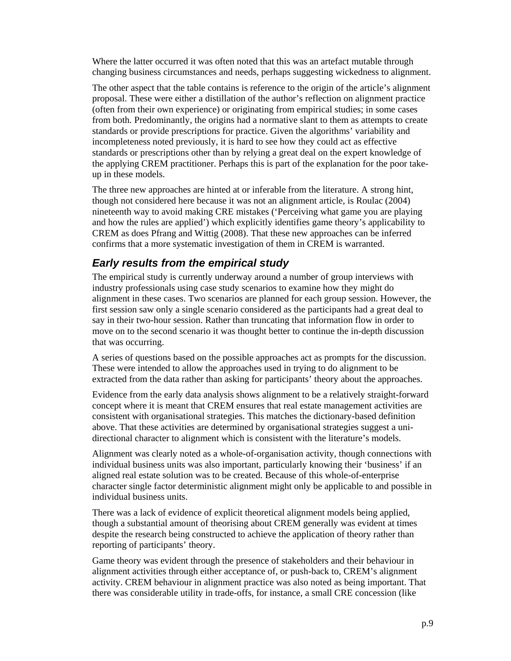Where the latter occurred it was often noted that this was an artefact mutable through changing business circumstances and needs, perhaps suggesting wickedness to alignment.

The other aspect that the table contains is reference to the origin of the article's alignment proposal. These were either a distillation of the author's reflection on alignment practice (often from their own experience) or originating from empirical studies; in some cases from both. Predominantly, the origins had a normative slant to them as attempts to create standards or provide prescriptions for practice. Given the algorithms' variability and incompleteness noted previously, it is hard to see how they could act as effective standards or prescriptions other than by relying a great deal on the expert knowledge of the applying CREM practitioner. Perhaps this is part of the explanation for the poor takeup in these models.

The three new approaches are hinted at or inferable from the literature. A strong hint, though not considered here because it was not an alignment article, is Roulac (2004) nineteenth way to avoid making CRE mistakes ('Perceiving what game you are playing and how the rules are applied') which explicitly identifies game theory's applicability to CREM as does Pfrang and Wittig (2008). That these new approaches can be inferred confirms that a more systematic investigation of them in CREM is warranted.

#### *Early results from the empirical study*

The empirical study is currently underway around a number of group interviews with industry professionals using case study scenarios to examine how they might do alignment in these cases. Two scenarios are planned for each group session. However, the first session saw only a single scenario considered as the participants had a great deal to say in their two-hour session. Rather than truncating that information flow in order to move on to the second scenario it was thought better to continue the in-depth discussion that was occurring.

A series of questions based on the possible approaches act as prompts for the discussion. These were intended to allow the approaches used in trying to do alignment to be extracted from the data rather than asking for participants' theory about the approaches.

Evidence from the early data analysis shows alignment to be a relatively straight-forward concept where it is meant that CREM ensures that real estate management activities are consistent with organisational strategies. This matches the dictionary-based definition above. That these activities are determined by organisational strategies suggest a unidirectional character to alignment which is consistent with the literature's models.

Alignment was clearly noted as a whole-of-organisation activity, though connections with individual business units was also important, particularly knowing their 'business' if an aligned real estate solution was to be created. Because of this whole-of-enterprise character single factor deterministic alignment might only be applicable to and possible in individual business units.

There was a lack of evidence of explicit theoretical alignment models being applied, though a substantial amount of theorising about CREM generally was evident at times despite the research being constructed to achieve the application of theory rather than reporting of participants' theory.

Game theory was evident through the presence of stakeholders and their behaviour in alignment activities through either acceptance of, or push-back to, CREM's alignment activity. CREM behaviour in alignment practice was also noted as being important. That there was considerable utility in trade-offs, for instance, a small CRE concession (like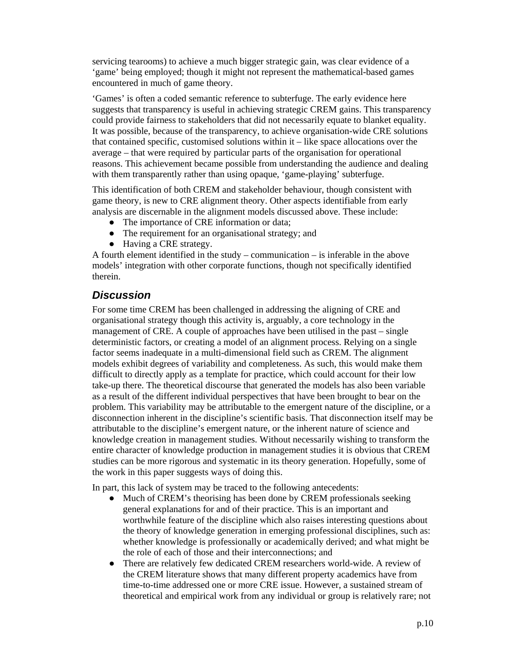servicing tearooms) to achieve a much bigger strategic gain, was clear evidence of a 'game' being employed; though it might not represent the mathematical-based games encountered in much of game theory.

'Games' is often a coded semantic reference to subterfuge. The early evidence here suggests that transparency is useful in achieving strategic CREM gains. This transparency could provide fairness to stakeholders that did not necessarily equate to blanket equality. It was possible, because of the transparency, to achieve organisation-wide CRE solutions that contained specific, customised solutions within it – like space allocations over the average – that were required by particular parts of the organisation for operational reasons. This achievement became possible from understanding the audience and dealing with them transparently rather than using opaque, 'game-playing' subterfuge.

This identification of both CREM and stakeholder behaviour, though consistent with game theory, is new to CRE alignment theory. Other aspects identifiable from early analysis are discernable in the alignment models discussed above. These include:

- The importance of CRE information or data;
- The requirement for an organisational strategy; and
- Having a CRE strategy.

A fourth element identified in the study – communication – is inferable in the above models' integration with other corporate functions, though not specifically identified therein.

#### *Discussion*

For some time CREM has been challenged in addressing the aligning of CRE and organisational strategy though this activity is, arguably, a core technology in the management of CRE. A couple of approaches have been utilised in the past – single deterministic factors, or creating a model of an alignment process. Relying on a single factor seems inadequate in a multi-dimensional field such as CREM. The alignment models exhibit degrees of variability and completeness. As such, this would make them difficult to directly apply as a template for practice, which could account for their low take-up there. The theoretical discourse that generated the models has also been variable as a result of the different individual perspectives that have been brought to bear on the problem. This variability may be attributable to the emergent nature of the discipline, or a disconnection inherent in the discipline's scientific basis. That disconnection itself may be attributable to the discipline's emergent nature, or the inherent nature of science and knowledge creation in management studies. Without necessarily wishing to transform the entire character of knowledge production in management studies it is obvious that CREM studies can be more rigorous and systematic in its theory generation. Hopefully, some of the work in this paper suggests ways of doing this.

In part, this lack of system may be traced to the following antecedents:

- Much of CREM's theorising has been done by CREM professionals seeking general explanations for and of their practice. This is an important and worthwhile feature of the discipline which also raises interesting questions about the theory of knowledge generation in emerging professional disciplines, such as: whether knowledge is professionally or academically derived; and what might be the role of each of those and their interconnections; and
- There are relatively few dedicated CREM researchers world-wide. A review of the CREM literature shows that many different property academics have from time-to-time addressed one or more CRE issue. However, a sustained stream of theoretical and empirical work from any individual or group is relatively rare; not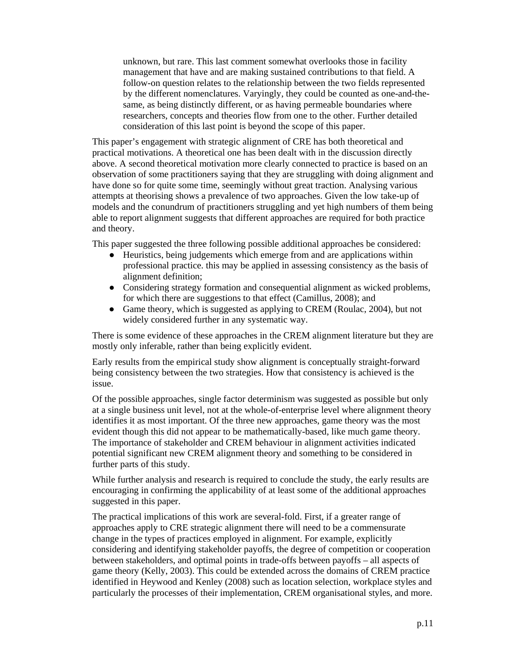unknown, but rare. This last comment somewhat overlooks those in facility management that have and are making sustained contributions to that field. A follow-on question relates to the relationship between the two fields represented by the different nomenclatures. Varyingly, they could be counted as one-and-thesame, as being distinctly different, or as having permeable boundaries where researchers, concepts and theories flow from one to the other. Further detailed consideration of this last point is beyond the scope of this paper.

This paper's engagement with strategic alignment of CRE has both theoretical and practical motivations. A theoretical one has been dealt with in the discussion directly above. A second theoretical motivation more clearly connected to practice is based on an observation of some practitioners saying that they are struggling with doing alignment and have done so for quite some time, seemingly without great traction. Analysing various attempts at theorising shows a prevalence of two approaches. Given the low take-up of models and the conundrum of practitioners struggling and yet high numbers of them being able to report alignment suggests that different approaches are required for both practice and theory.

This paper suggested the three following possible additional approaches be considered:

- Heuristics, being judgements which emerge from and are applications within professional practice. this may be applied in assessing consistency as the basis of alignment definition;
- Considering strategy formation and consequential alignment as wicked problems, for which there are suggestions to that effect (Camillus, 2008); and
- Game theory, which is suggested as applying to CREM (Roulac, 2004), but not widely considered further in any systematic way.

There is some evidence of these approaches in the CREM alignment literature but they are mostly only inferable, rather than being explicitly evident.

Early results from the empirical study show alignment is conceptually straight-forward being consistency between the two strategies. How that consistency is achieved is the issue.

Of the possible approaches, single factor determinism was suggested as possible but only at a single business unit level, not at the whole-of-enterprise level where alignment theory identifies it as most important. Of the three new approaches, game theory was the most evident though this did not appear to be mathematically-based, like much game theory. The importance of stakeholder and CREM behaviour in alignment activities indicated potential significant new CREM alignment theory and something to be considered in further parts of this study.

While further analysis and research is required to conclude the study, the early results are encouraging in confirming the applicability of at least some of the additional approaches suggested in this paper.

The practical implications of this work are several-fold. First, if a greater range of approaches apply to CRE strategic alignment there will need to be a commensurate change in the types of practices employed in alignment. For example, explicitly considering and identifying stakeholder payoffs, the degree of competition or cooperation between stakeholders, and optimal points in trade-offs between payoffs – all aspects of game theory (Kelly, 2003). This could be extended across the domains of CREM practice identified in Heywood and Kenley (2008) such as location selection, workplace styles and particularly the processes of their implementation, CREM organisational styles, and more.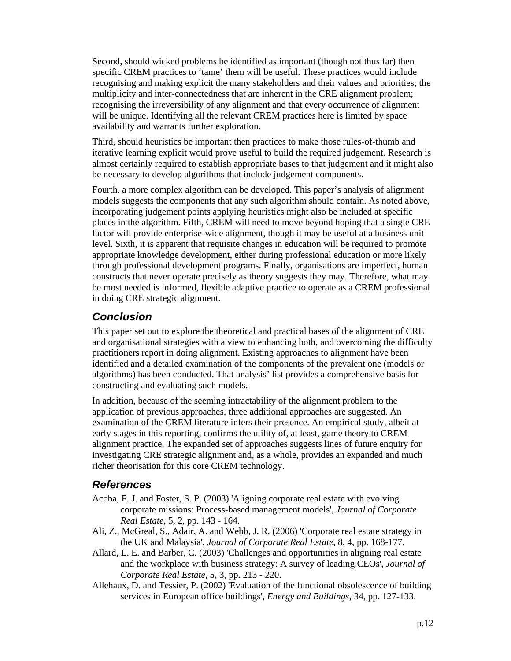Second, should wicked problems be identified as important (though not thus far) then specific CREM practices to 'tame' them will be useful. These practices would include recognising and making explicit the many stakeholders and their values and priorities; the multiplicity and inter-connectedness that are inherent in the CRE alignment problem; recognising the irreversibility of any alignment and that every occurrence of alignment will be unique. Identifying all the relevant CREM practices here is limited by space availability and warrants further exploration.

Third, should heuristics be important then practices to make those rules-of-thumb and iterative learning explicit would prove useful to build the required judgement. Research is almost certainly required to establish appropriate bases to that judgement and it might also be necessary to develop algorithms that include judgement components.

Fourth, a more complex algorithm can be developed. This paper's analysis of alignment models suggests the components that any such algorithm should contain. As noted above, incorporating judgement points applying heuristics might also be included at specific places in the algorithm. Fifth, CREM will need to move beyond hoping that a single CRE factor will provide enterprise-wide alignment, though it may be useful at a business unit level. Sixth, it is apparent that requisite changes in education will be required to promote appropriate knowledge development, either during professional education or more likely through professional development programs. Finally, organisations are imperfect, human constructs that never operate precisely as theory suggests they may. Therefore, what may be most needed is informed, flexible adaptive practice to operate as a CREM professional in doing CRE strategic alignment.

#### *Conclusion*

This paper set out to explore the theoretical and practical bases of the alignment of CRE and organisational strategies with a view to enhancing both, and overcoming the difficulty practitioners report in doing alignment. Existing approaches to alignment have been identified and a detailed examination of the components of the prevalent one (models or algorithms) has been conducted. That analysis' list provides a comprehensive basis for constructing and evaluating such models.

In addition, because of the seeming intractability of the alignment problem to the application of previous approaches, three additional approaches are suggested. An examination of the CREM literature infers their presence. An empirical study, albeit at early stages in this reporting, confirms the utility of, at least, game theory to CREM alignment practice. The expanded set of approaches suggests lines of future enquiry for investigating CRE strategic alignment and, as a whole, provides an expanded and much richer theorisation for this core CREM technology.

## *References*

- Acoba, F. J. and Foster, S. P. (2003) 'Aligning corporate real estate with evolving corporate missions: Process-based management models', *Journal of Corporate Real Estate*, 5, 2, pp. 143 - 164.
- Ali, Z., McGreal, S., Adair, A. and Webb, J. R. (2006) 'Corporate real estate strategy in the UK and Malaysia', *Journal of Corporate Real Estate*, 8, 4, pp. 168-177.
- Allard, L. E. and Barber, C. (2003) 'Challenges and opportunities in aligning real estate and the workplace with business strategy: A survey of leading CEOs', *Journal of Corporate Real Estate*, 5, 3, pp. 213 - 220.
- Allehaux, D. and Tessier, P. (2002) 'Evaluation of the functional obsolescence of building services in European office buildings', *Energy and Buildings*, 34, pp. 127-133.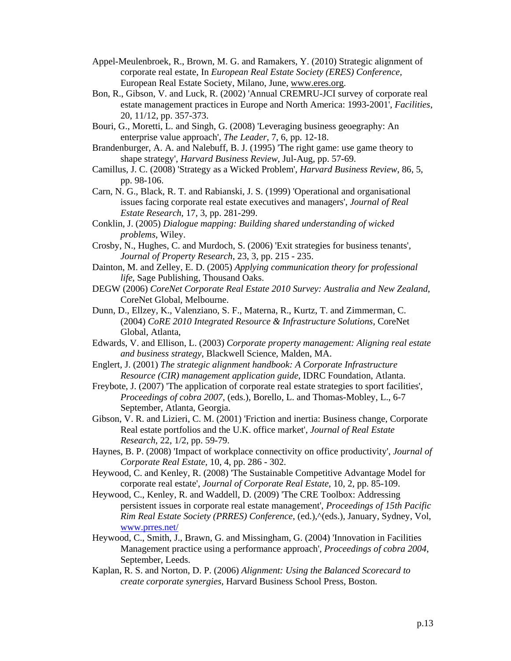- Appel-Meulenbroek, R., Brown, M. G. and Ramakers, Y. (2010) Strategic alignment of corporate real estate, In *European Real Estate Society (ERES) Conference,*  European Real Estate Society, Milano, June, www.eres.org.
- Bon, R., Gibson, V. and Luck, R. (2002) 'Annual CREMRU-JCI survey of corporate real estate management practices in Europe and North America: 1993-2001', *Facilities*, 20, 11/12, pp. 357-373.
- Bouri, G., Moretti, L. and Singh, G. (2008) 'Leveraging business geoegraphy: An enterprise value approach', *The Leader*, 7, 6, pp. 12-18.
- Brandenburger, A. A. and Nalebuff, B. J. (1995) 'The right game: use game theory to shape strategy', *Harvard Business Review*, Jul-Aug, pp. 57-69.
- Camillus, J. C. (2008) 'Strategy as a Wicked Problem', *Harvard Business Review*, 86, 5, pp. 98-106.
- Carn, N. G., Black, R. T. and Rabianski, J. S. (1999) 'Operational and organisational issues facing corporate real estate executives and managers', *Journal of Real Estate Research*, 17, 3, pp. 281-299.
- Conklin, J. (2005) *Dialogue mapping: Building shared understanding of wicked problems*, Wiley.
- Crosby, N., Hughes, C. and Murdoch, S. (2006) 'Exit strategies for business tenants', *Journal of Property Research*, 23, 3, pp. 215 - 235.
- Dainton, M. and Zelley, E. D. (2005) *Applying communication theory for professional life*, Sage Publishing, Thousand Oaks.
- DEGW (2006) *CoreNet Corporate Real Estate 2010 Survey: Australia and New Zealand*, CoreNet Global, Melbourne.
- Dunn, D., Ellzey, K., Valenziano, S. F., Materna, R., Kurtz, T. and Zimmerman, C. (2004) *CoRE 2010 Integrated Resource & Infrastructure Solutions*, CoreNet Global, Atlanta,
- Edwards, V. and Ellison, L. (2003) *Corporate property management: Aligning real estate and business strategy*, Blackwell Science, Malden, MA.
- Englert, J. (2001) *The strategic alignment handbook: A Corporate Infrastructure Resource (CIR) management application guide*, IDRC Foundation, Atlanta.
- Freybote, J. (2007) 'The application of corporate real estate strategies to sport facilities', *Proceedings of cobra 2007*, (eds.), Borello, L. and Thomas-Mobley, L., 6-7 September, Atlanta, Georgia.
- Gibson, V. R. and Lizieri, C. M. (2001) 'Friction and inertia: Business change, Corporate Real estate portfolios and the U.K. office market', *Journal of Real Estate Research*, 22, 1/2, pp. 59-79.
- Haynes, B. P. (2008) 'Impact of workplace connectivity on office productivity', *Journal of Corporate Real Estate*, 10, 4, pp. 286 - 302.
- Heywood, C. and Kenley, R. (2008) 'The Sustainable Competitive Advantage Model for corporate real estate', *Journal of Corporate Real Estate*, 10, 2, pp. 85-109.
- Heywood, C., Kenley, R. and Waddell, D. (2009) 'The CRE Toolbox: Addressing persistent issues in corporate real estate management', *Proceedings of 15th Pacific Rim Real Estate Society (PRRES) Conference*, (ed.),  $\triangle$ (eds.), January, Sydney, Vol, www.prres.net/
- Heywood, C., Smith, J., Brawn, G. and Missingham, G. (2004) 'Innovation in Facilities Management practice using a performance approach', *Proceedings of cobra 2004*, September, Leeds.
- Kaplan, R. S. and Norton, D. P. (2006) *Alignment: Using the Balanced Scorecard to create corporate synergies*, Harvard Business School Press, Boston.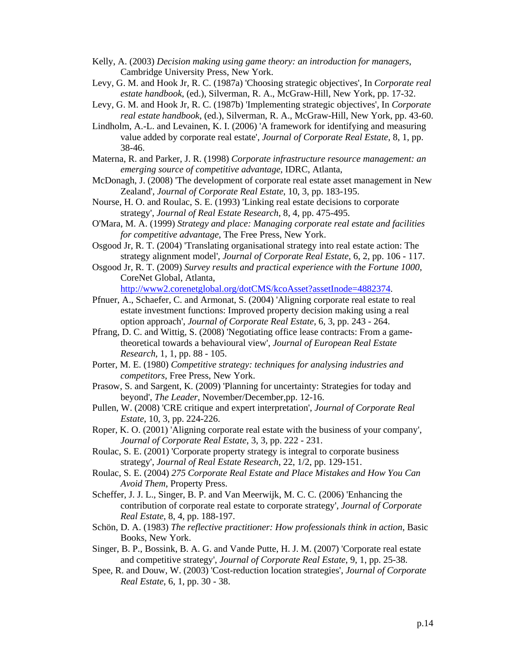- Kelly, A. (2003) *Decision making using game theory: an introduction for managers*, Cambridge University Press, New York.
- Levy, G. M. and Hook Jr, R. C. (1987a) 'Choosing strategic objectives', In *Corporate real estate handbook*, (ed.), Silverman, R. A., McGraw-Hill, New York, pp. 17-32.
- Levy, G. M. and Hook Jr, R. C. (1987b) 'Implementing strategic objectives', In *Corporate real estate handbook*, (ed.), Silverman, R. A., McGraw-Hill, New York, pp. 43-60.
- Lindholm, A.-L. and Levainen, K. I. (2006) 'A framework for identifying and measuring value added by corporate real estate', *Journal of Corporate Real Estate*, 8, 1, pp. 38-46.
- Materna, R. and Parker, J. R. (1998) *Corporate infrastructure resource management: an emerging source of competitive advantage*, IDRC, Atlanta,
- McDonagh, J. (2008) 'The development of corporate real estate asset management in New Zealand', *Journal of Corporate Real Estate*, 10, 3, pp. 183-195.
- Nourse, H. O. and Roulac, S. E. (1993) 'Linking real estate decisions to corporate strategy', *Journal of Real Estate Research*, 8, 4, pp. 475-495.
- O'Mara, M. A. (1999) *Strategy and place: Managing corporate real estate and facilities for competitive advantage*, The Free Press, New York.
- Osgood Jr, R. T. (2004) 'Translating organisational strategy into real estate action: The strategy alignment model', *Journal of Corporate Real Estate*, 6, 2, pp. 106 - 117.
- Osgood Jr, R. T. (2009) *Survey results and practical experience with the Fortune 1000*, CoreNet Global, Atlanta,

http://www2.corenetglobal.org/dotCMS/kcoAsset?assetInode=4882374.

- Pfnuer, A., Schaefer, C. and Armonat, S. (2004) 'Aligning corporate real estate to real estate investment functions: Improved property decision making using a real option approach', *Journal of Corporate Real Estate*, 6, 3, pp. 243 - 264.
- Pfrang, D. C. and Wittig, S. (2008) 'Negotiating office lease contracts: From a gametheoretical towards a behavioural view', *Journal of European Real Estate Research*, 1, 1, pp. 88 - 105.
- Porter, M. E. (1980) *Competitive strategy: techniques for analysing industries and competitors*, Free Press, New York.
- Prasow, S. and Sargent, K. (2009) 'Planning for uncertainty: Strategies for today and beyond', *The Leader*, November/December,pp. 12-16.
- Pullen, W. (2008) 'CRE critique and expert interpretation', *Journal of Corporate Real Estate*, 10, 3, pp. 224-226.
- Roper, K. O. (2001) 'Aligning corporate real estate with the business of your company', *Journal of Corporate Real Estate*, 3, 3, pp. 222 - 231.
- Roulac, S. E. (2001) 'Corporate property strategy is integral to corporate business strategy', *Journal of Real Estate Research*, 22, 1/2, pp. 129-151.
- Roulac, S. E. (2004) *275 Corporate Real Estate and Place Mistakes and How You Can Avoid Them*, Property Press.
- Scheffer, J. J. L., Singer, B. P. and Van Meerwijk, M. C. C. (2006) 'Enhancing the contribution of corporate real estate to corporate strategy', *Journal of Corporate Real Estate*, 8, 4, pp. 188-197.
- Schön, D. A. (1983) *The reflective practitioner: How professionals think in action*, Basic Books, New York.
- Singer, B. P., Bossink, B. A. G. and Vande Putte, H. J. M. (2007) 'Corporate real estate and competitive strategy', *Journal of Corporate Real Estate*, 9, 1, pp. 25-38.
- Spee, R. and Douw, W. (2003) 'Cost-reduction location strategies', *Journal of Corporate Real Estate*, 6, 1, pp. 30 - 38.